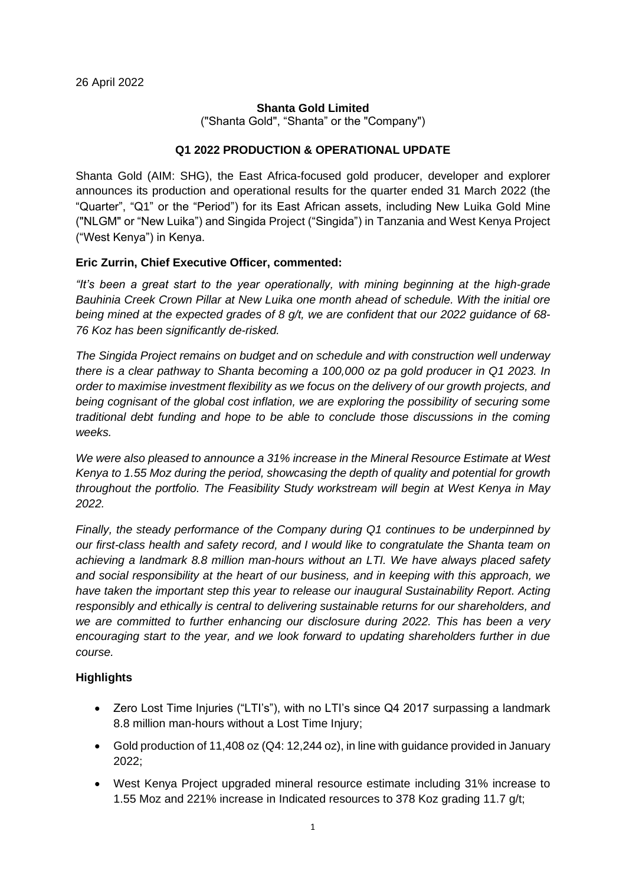#### **Shanta Gold Limited**

("Shanta Gold", "Shanta" or the "Company")

#### **Q1 2022 PRODUCTION & OPERATIONAL UPDATE**

Shanta Gold (AIM: SHG), the East Africa-focused gold producer, developer and explorer announces its production and operational results for the quarter ended 31 March 2022 (the "Quarter", "Q1" or the "Period") for its East African assets, including New Luika Gold Mine ("NLGM" or "New Luika") and Singida Project ("Singida") in Tanzania and West Kenya Project ("West Kenya") in Kenya.

### **Eric Zurrin, Chief Executive Officer, commented:**

*"It's been a great start to the year operationally, with mining beginning at the high-grade Bauhinia Creek Crown Pillar at New Luika one month ahead of schedule. With the initial ore being mined at the expected grades of 8 g/t, we are confident that our 2022 guidance of 68- 76 Koz has been significantly de-risked.* 

*The Singida Project remains on budget and on schedule and with construction well underway there is a clear pathway to Shanta becoming a 100,000 oz pa gold producer in Q1 2023. In order to maximise investment flexibility as we focus on the delivery of our growth projects, and being cognisant of the global cost inflation, we are exploring the possibility of securing some traditional debt funding and hope to be able to conclude those discussions in the coming weeks.*

*We were also pleased to announce a 31% increase in the Mineral Resource Estimate at West Kenya to 1.55 Moz during the period, showcasing the depth of quality and potential for growth throughout the portfolio. The Feasibility Study workstream will begin at West Kenya in May 2022.*

*Finally, the steady performance of the Company during Q1 continues to be underpinned by our first-class health and safety record, and I would like to congratulate the Shanta team on achieving a landmark 8.8 million man-hours without an LTI. We have always placed safety and social responsibility at the heart of our business, and in keeping with this approach, we have taken the important step this year to release our inaugural Sustainability Report. Acting responsibly and ethically is central to delivering sustainable returns for our shareholders, and we are committed to further enhancing our disclosure during 2022. This has been a very encouraging start to the year, and we look forward to updating shareholders further in due course.*

## **Highlights**

- Zero Lost Time Injuries ("LTI's"), with no LTI's since Q4 2017 surpassing a landmark 8.8 million man-hours without a Lost Time Injury;
- Gold production of 11,408 oz (Q4: 12,244 oz), in line with guidance provided in January 2022;
- West Kenya Project upgraded mineral resource estimate including 31% increase to 1.55 Moz and 221% increase in Indicated resources to 378 Koz grading 11.7 g/t;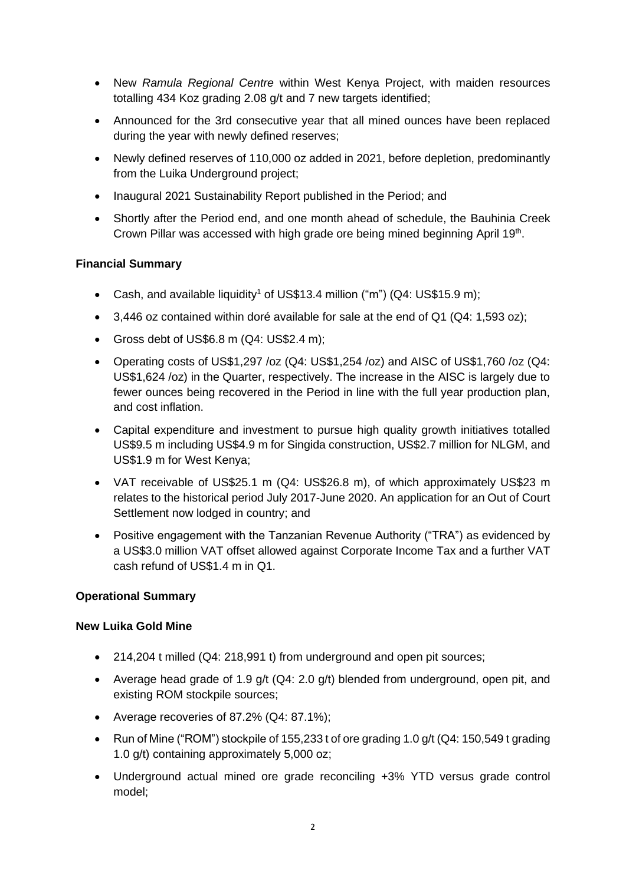- New *Ramula Regional Centre* within West Kenya Project, with maiden resources totalling 434 Koz grading 2.08 g/t and 7 new targets identified;
- Announced for the 3rd consecutive year that all mined ounces have been replaced during the year with newly defined reserves;
- Newly defined reserves of 110,000 oz added in 2021, before depletion, predominantly from the Luika Underground project;
- Inaugural 2021 Sustainability Report published in the Period; and
- Shortly after the Period end, and one month ahead of schedule, the Bauhinia Creek Crown Pillar was accessed with high grade ore being mined beginning April 19<sup>th</sup>.

## **Financial Summary**

- Cash, and available liquidity<sup>1</sup> of US\$13.4 million ("m")  $(Q4: US$15.9 m)$ ;
- 3,446 oz contained within doré available for sale at the end of Q1 (Q4: 1,593 oz);
- Gross debt of US\$6.8 m (Q4: US\$2.4 m);
- Operating costs of US\$1,297 /oz (Q4: US\$1,254 /oz) and AISC of US\$1,760 /oz (Q4: US\$1,624 /oz) in the Quarter, respectively. The increase in the AISC is largely due to fewer ounces being recovered in the Period in line with the full year production plan, and cost inflation.
- Capital expenditure and investment to pursue high quality growth initiatives totalled US\$9.5 m including US\$4.9 m for Singida construction, US\$2.7 million for NLGM, and US\$1.9 m for West Kenya;
- VAT receivable of US\$25.1 m (Q4: US\$26.8 m), of which approximately US\$23 m relates to the historical period July 2017-June 2020. An application for an Out of Court Settlement now lodged in country; and
- Positive engagement with the Tanzanian Revenue Authority ("TRA") as evidenced by a US\$3.0 million VAT offset allowed against Corporate Income Tax and a further VAT cash refund of US\$1.4 m in Q1.

#### **Operational Summary**

#### **New Luika Gold Mine**

- 214,204 t milled (Q4: 218,991 t) from underground and open pit sources;
- Average head grade of 1.9 g/t (Q4: 2.0 g/t) blended from underground, open pit, and existing ROM stockpile sources;
- Average recoveries of 87.2% (Q4: 87.1%);
- Run of Mine ("ROM") stockpile of 155,233 t of ore grading 1.0 g/t (Q4: 150,549 t grading 1.0 g/t) containing approximately 5,000 oz;
- Underground actual mined ore grade reconciling +3% YTD versus grade control model;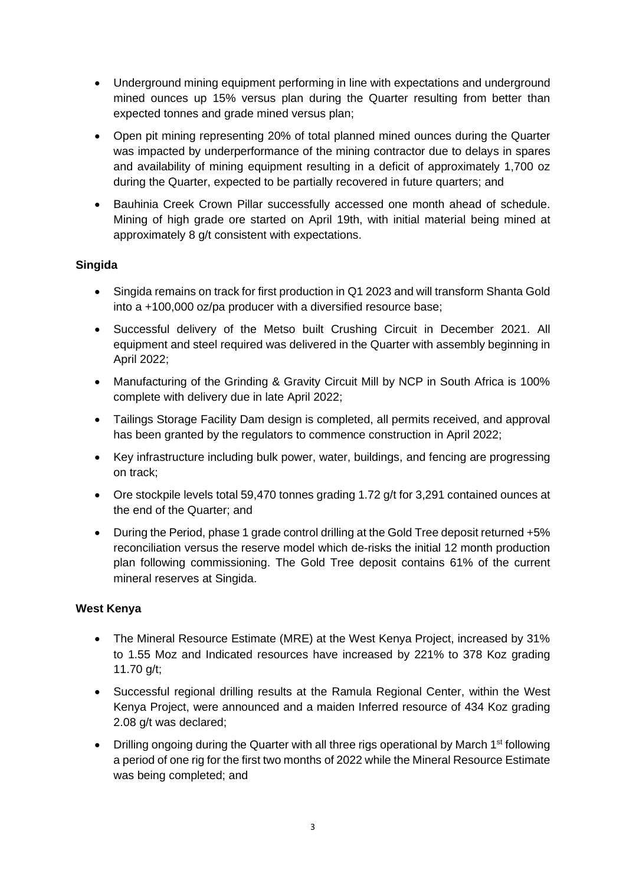- Underground mining equipment performing in line with expectations and underground mined ounces up 15% versus plan during the Quarter resulting from better than expected tonnes and grade mined versus plan;
- Open pit mining representing 20% of total planned mined ounces during the Quarter was impacted by underperformance of the mining contractor due to delays in spares and availability of mining equipment resulting in a deficit of approximately 1,700 oz during the Quarter, expected to be partially recovered in future quarters; and
- Bauhinia Creek Crown Pillar successfully accessed one month ahead of schedule. Mining of high grade ore started on April 19th, with initial material being mined at approximately 8 g/t consistent with expectations.

# **Singida**

- Singida remains on track for first production in Q1 2023 and will transform Shanta Gold into a +100,000 oz/pa producer with a diversified resource base;
- Successful delivery of the Metso built Crushing Circuit in December 2021. All equipment and steel required was delivered in the Quarter with assembly beginning in April 2022;
- Manufacturing of the Grinding & Gravity Circuit Mill by NCP in South Africa is 100% complete with delivery due in late April 2022;
- Tailings Storage Facility Dam design is completed, all permits received, and approval has been granted by the regulators to commence construction in April 2022;
- Key infrastructure including bulk power, water, buildings, and fencing are progressing on track;
- Ore stockpile levels total 59,470 tonnes grading 1.72 g/t for 3,291 contained ounces at the end of the Quarter; and
- During the Period, phase 1 grade control drilling at the Gold Tree deposit returned +5% reconciliation versus the reserve model which de-risks the initial 12 month production plan following commissioning. The Gold Tree deposit contains 61% of the current mineral reserves at Singida.

## **West Kenya**

- The Mineral Resource Estimate (MRE) at the West Kenya Project, increased by 31% to 1.55 Moz and Indicated resources have increased by 221% to 378 Koz grading 11.70 g/t;
- Successful regional drilling results at the Ramula Regional Center, within the West Kenya Project, were announced and a maiden Inferred resource of 434 Koz grading 2.08 g/t was declared;
- Drilling ongoing during the Quarter with all three rigs operational by March 1<sup>st</sup> following a period of one rig for the first two months of 2022 while the Mineral Resource Estimate was being completed; and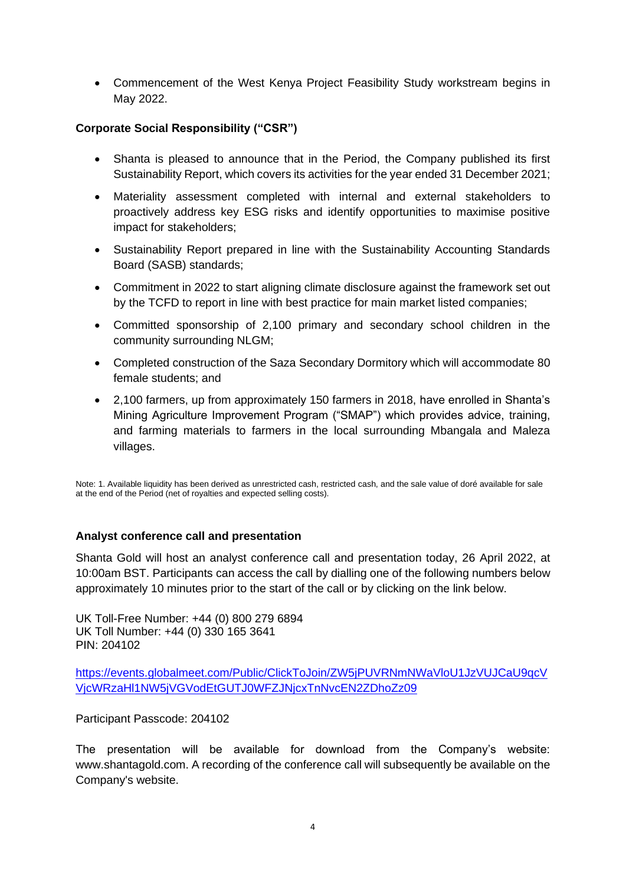• Commencement of the West Kenya Project Feasibility Study workstream begins in May 2022.

# **Corporate Social Responsibility ("CSR")**

- Shanta is pleased to announce that in the Period, the Company published its first Sustainability Report, which covers its activities for the year ended 31 December 2021;
- Materiality assessment completed with internal and external stakeholders to proactively address key ESG risks and identify opportunities to maximise positive impact for stakeholders;
- Sustainability Report prepared in line with the Sustainability Accounting Standards Board (SASB) standards;
- Commitment in 2022 to start aligning climate disclosure against the framework set out by the TCFD to report in line with best practice for main market listed companies;
- Committed sponsorship of 2,100 primary and secondary school children in the community surrounding NLGM;
- Completed construction of the Saza Secondary Dormitory which will accommodate 80 female students; and
- 2,100 farmers, up from approximately 150 farmers in 2018, have enrolled in Shanta's Mining Agriculture Improvement Program ("SMAP") which provides advice, training, and farming materials to farmers in the local surrounding Mbangala and Maleza villages.

Note: 1. Available liquidity has been derived as unrestricted cash, restricted cash, and the sale value of doré available for sale at the end of the Period (net of royalties and expected selling costs).

#### **Analyst conference call and presentation**

Shanta Gold will host an analyst conference call and presentation today, 26 April 2022, at 10:00am BST. Participants can access the call by dialling one of the following numbers below approximately 10 minutes prior to the start of the call or by clicking on the link below.

UK Toll-Free Number: +44 (0) 800 279 6894 UK Toll Number: +44 (0) 330 165 3641 PIN: 204102

[https://events.globalmeet.com/Public/ClickToJoin/ZW5jPUVRNmNWaVloU1JzVUJCaU9qcV](https://events.globalmeet.com/Public/ClickToJoin/ZW5jPUVRNmNWaVloU1JzVUJCaU9qcVVjcWRzaHl1NW5jVGVodEtGUTJ0WFZJNjcxTnNvcEN2ZDhoZz09) [VjcWRzaHl1NW5jVGVodEtGUTJ0WFZJNjcxTnNvcEN2ZDhoZz09](https://events.globalmeet.com/Public/ClickToJoin/ZW5jPUVRNmNWaVloU1JzVUJCaU9qcVVjcWRzaHl1NW5jVGVodEtGUTJ0WFZJNjcxTnNvcEN2ZDhoZz09)

Participant Passcode: 204102

The presentation will be available for download from the Company's website: www.shantagold.com. A recording of the conference call will subsequently be available on the Company's website.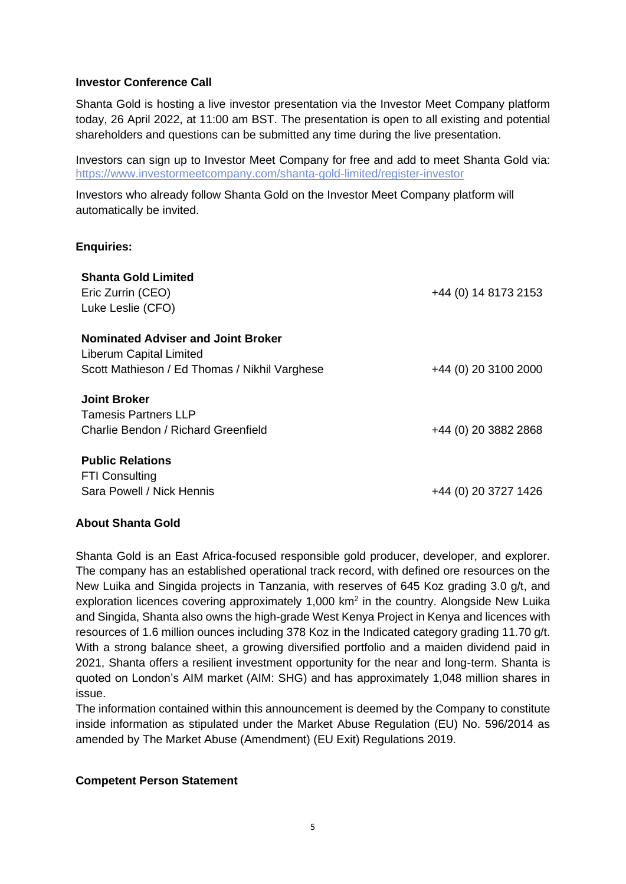#### **Investor Conference Call**

Shanta Gold is hosting a live investor presentation via the Investor Meet Company platform today, 26 April 2022, at 11:00 am BST. The presentation is open to all existing and potential shareholders and questions can be submitted any time during the live presentation.

Investors can sign up to Investor Meet Company for free and add to meet Shanta Gold via: [https://www.investormeetcompany.com/shanta-gold-limited/register-investor](https://protect-za.mimecast.com/s/Z9HnCVmrpNhwlrGCGefj-)

Investors who already follow Shanta Gold on the Investor Meet Company platform will automatically be invited.

### **Enquiries:**

| <b>Shanta Gold Limited</b><br>Eric Zurrin (CEO)<br>Luke Leslie (CFO)                                                  | +44 (0) 14 8173 2153 |
|-----------------------------------------------------------------------------------------------------------------------|----------------------|
| <b>Nominated Adviser and Joint Broker</b><br>Liberum Capital Limited<br>Scott Mathieson / Ed Thomas / Nikhil Varghese | +44 (0) 20 3100 2000 |
| <b>Joint Broker</b><br><b>Tamesis Partners LLP</b><br>Charlie Bendon / Richard Greenfield                             | +44 (0) 20 3882 2868 |
| <b>Public Relations</b><br><b>FTI Consulting</b><br>Sara Powell / Nick Hennis                                         | +44 (0) 20 3727 1426 |

#### **About Shanta Gold**

Shanta Gold is an East Africa-focused responsible gold producer, developer, and explorer. The company has an established operational track record, with defined ore resources on the New Luika and Singida projects in Tanzania, with reserves of 645 Koz grading 3.0 g/t, and exploration licences covering approximately  $1,000$  km<sup>2</sup> in the country. Alongside New Luika and Singida, Shanta also owns the high-grade West Kenya Project in Kenya and licences with resources of 1.6 million ounces including 378 Koz in the Indicated category grading 11.70 g/t. With a strong balance sheet, a growing diversified portfolio and a maiden dividend paid in 2021, Shanta offers a resilient investment opportunity for the near and long-term. Shanta is quoted on London's AIM market (AIM: SHG) and has approximately 1,048 million shares in issue.

The information contained within this announcement is deemed by the Company to constitute inside information as stipulated under the Market Abuse Regulation (EU) No. 596/2014 as amended by The Market Abuse (Amendment) (EU Exit) Regulations 2019.

#### **Competent Person Statement**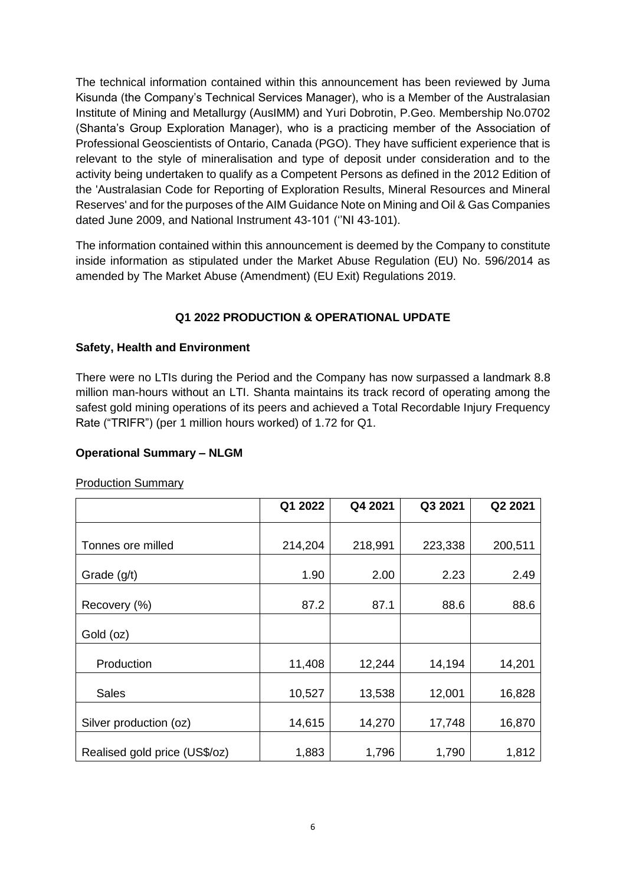The technical information contained within this announcement has been reviewed by Juma Kisunda (the Company's Technical Services Manager), who is a Member of the Australasian Institute of Mining and Metallurgy (AusIMM) and Yuri Dobrotin, P.Geo. Membership No.0702 (Shanta's Group Exploration Manager), who is a practicing member of the Association of Professional Geoscientists of Ontario, Canada (PGO). They have sufficient experience that is relevant to the style of mineralisation and type of deposit under consideration and to the activity being undertaken to qualify as a Competent Persons as defined in the 2012 Edition of the 'Australasian Code for Reporting of Exploration Results, Mineral Resources and Mineral Reserves' and for the purposes of the AIM Guidance Note on Mining and Oil & Gas Companies dated June 2009, and National Instrument 43-101 (''NI 43-101).

The information contained within this announcement is deemed by the Company to constitute inside information as stipulated under the Market Abuse Regulation (EU) No. 596/2014 as amended by The Market Abuse (Amendment) (EU Exit) Regulations 2019.

# **Q1 2022 PRODUCTION & OPERATIONAL UPDATE**

## **Safety, Health and Environment**

There were no LTIs during the Period and the Company has now surpassed a landmark 8.8 million man-hours without an LTI. Shanta maintains its track record of operating among the safest gold mining operations of its peers and achieved a Total Recordable Injury Frequency Rate ("TRIFR") (per 1 million hours worked) of 1.72 for Q1.

## **Operational Summary – NLGM**

Production Summary

|                               | Q1 2022 | Q4 2021 | Q3 2021 | Q2 2021 |
|-------------------------------|---------|---------|---------|---------|
|                               |         |         |         |         |
| Tonnes ore milled             | 214,204 | 218,991 | 223,338 | 200,511 |
| Grade (g/t)                   | 1.90    | 2.00    | 2.23    | 2.49    |
| Recovery (%)                  | 87.2    | 87.1    | 88.6    | 88.6    |
| Gold (oz)                     |         |         |         |         |
| Production                    | 11,408  | 12,244  | 14,194  | 14,201  |
| <b>Sales</b>                  | 10,527  | 13,538  | 12,001  | 16,828  |
| Silver production (oz)        | 14,615  | 14,270  | 17,748  | 16,870  |
| Realised gold price (US\$/oz) | 1,883   | 1,796   | 1,790   | 1,812   |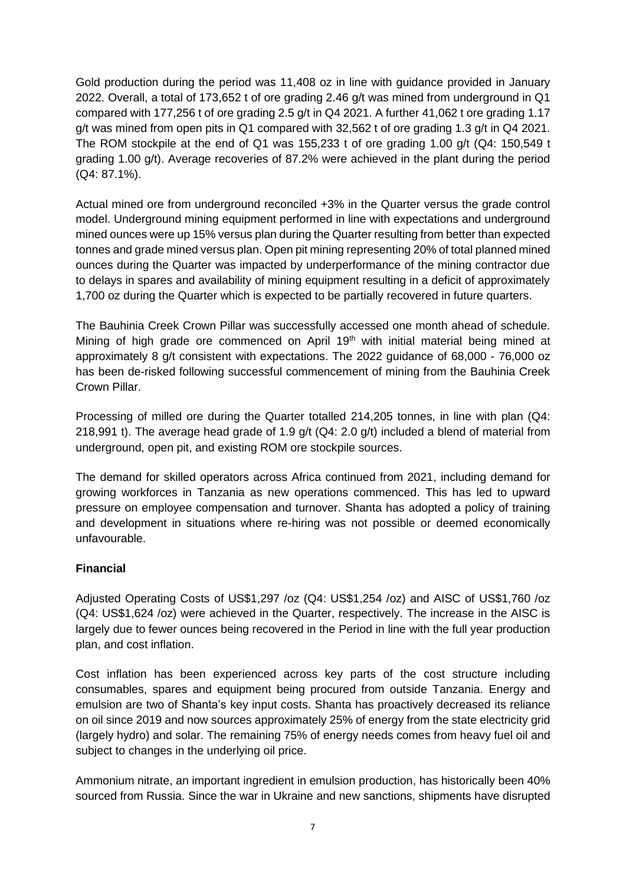Gold production during the period was 11,408 oz in line with guidance provided in January 2022. Overall, a total of 173,652 t of ore grading 2.46 g/t was mined from underground in Q1 compared with 177,256 t of ore grading 2.5 g/t in Q4 2021. A further 41,062 t ore grading 1.17 g/t was mined from open pits in Q1 compared with 32,562 t of ore grading 1.3 g/t in Q4 2021. The ROM stockpile at the end of Q1 was 155,233 t of ore grading 1.00 g/t (Q4: 150,549 t grading 1.00 g/t). Average recoveries of 87.2% were achieved in the plant during the period (Q4: 87.1%).

Actual mined ore from underground reconciled +3% in the Quarter versus the grade control model. Underground mining equipment performed in line with expectations and underground mined ounces were up 15% versus plan during the Quarter resulting from better than expected tonnes and grade mined versus plan. Open pit mining representing 20% of total planned mined ounces during the Quarter was impacted by underperformance of the mining contractor due to delays in spares and availability of mining equipment resulting in a deficit of approximately 1,700 oz during the Quarter which is expected to be partially recovered in future quarters.

The Bauhinia Creek Crown Pillar was successfully accessed one month ahead of schedule. Mining of high grade ore commenced on April 19<sup>th</sup> with initial material being mined at approximately 8 g/t consistent with expectations. The 2022 guidance of 68,000 - 76,000 oz has been de-risked following successful commencement of mining from the Bauhinia Creek Crown Pillar.

Processing of milled ore during the Quarter totalled 214,205 tonnes, in line with plan (Q4: 218,991 t). The average head grade of 1.9 g/t (Q4: 2.0 g/t) included a blend of material from underground, open pit, and existing ROM ore stockpile sources.

The demand for skilled operators across Africa continued from 2021, including demand for growing workforces in Tanzania as new operations commenced. This has led to upward pressure on employee compensation and turnover. Shanta has adopted a policy of training and development in situations where re-hiring was not possible or deemed economically unfavourable.

## **Financial**

Adjusted Operating Costs of US\$1,297 /oz (Q4: US\$1,254 /oz) and AISC of US\$1,760 /oz (Q4: US\$1,624 /oz) were achieved in the Quarter, respectively. The increase in the AISC is largely due to fewer ounces being recovered in the Period in line with the full year production plan, and cost inflation.

Cost inflation has been experienced across key parts of the cost structure including consumables, spares and equipment being procured from outside Tanzania. Energy and emulsion are two of Shanta's key input costs. Shanta has proactively decreased its reliance on oil since 2019 and now sources approximately 25% of energy from the state electricity grid (largely hydro) and solar. The remaining 75% of energy needs comes from heavy fuel oil and subject to changes in the underlying oil price.

Ammonium nitrate, an important ingredient in emulsion production, has historically been 40% sourced from Russia. Since the war in Ukraine and new sanctions, shipments have disrupted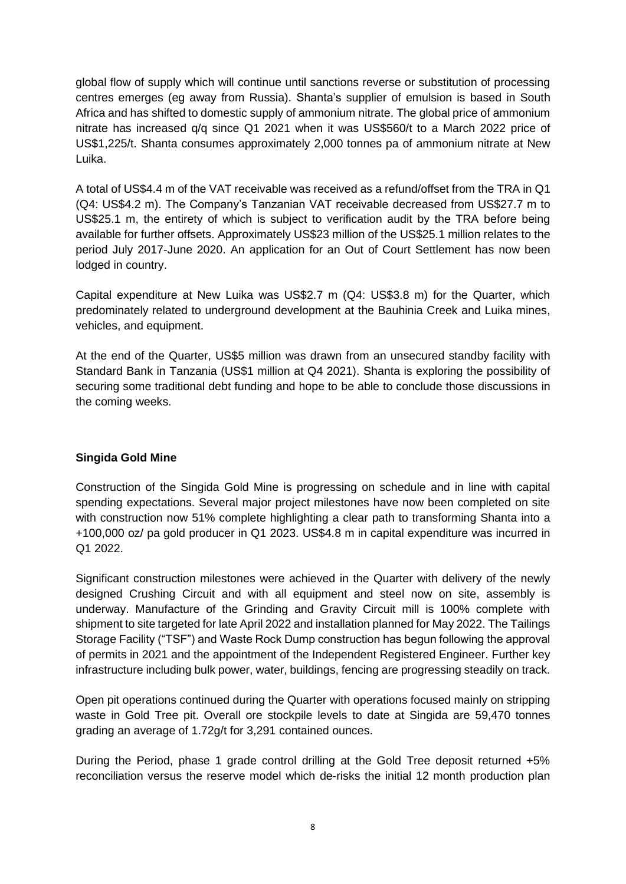global flow of supply which will continue until sanctions reverse or substitution of processing centres emerges (eg away from Russia). Shanta's supplier of emulsion is based in South Africa and has shifted to domestic supply of ammonium nitrate. The global price of ammonium nitrate has increased q/q since Q1 2021 when it was US\$560/t to a March 2022 price of US\$1,225/t. Shanta consumes approximately 2,000 tonnes pa of ammonium nitrate at New Luika.

A total of US\$4.4 m of the VAT receivable was received as a refund/offset from the TRA in Q1 (Q4: US\$4.2 m). The Company's Tanzanian VAT receivable decreased from US\$27.7 m to US\$25.1 m, the entirety of which is subject to verification audit by the TRA before being available for further offsets. Approximately US\$23 million of the US\$25.1 million relates to the period July 2017-June 2020. An application for an Out of Court Settlement has now been lodged in country.

Capital expenditure at New Luika was US\$2.7 m (Q4: US\$3.8 m) for the Quarter, which predominately related to underground development at the Bauhinia Creek and Luika mines, vehicles, and equipment.

At the end of the Quarter, US\$5 million was drawn from an unsecured standby facility with Standard Bank in Tanzania (US\$1 million at Q4 2021). Shanta is exploring the possibility of securing some traditional debt funding and hope to be able to conclude those discussions in the coming weeks.

## **Singida Gold Mine**

Construction of the Singida Gold Mine is progressing on schedule and in line with capital spending expectations. Several major project milestones have now been completed on site with construction now 51% complete highlighting a clear path to transforming Shanta into a +100,000 oz/ pa gold producer in Q1 2023. US\$4.8 m in capital expenditure was incurred in Q1 2022.

Significant construction milestones were achieved in the Quarter with delivery of the newly designed Crushing Circuit and with all equipment and steel now on site, assembly is underway. Manufacture of the Grinding and Gravity Circuit mill is 100% complete with shipment to site targeted for late April 2022 and installation planned for May 2022. The Tailings Storage Facility ("TSF") and Waste Rock Dump construction has begun following the approval of permits in 2021 and the appointment of the Independent Registered Engineer. Further key infrastructure including bulk power, water, buildings, fencing are progressing steadily on track.

Open pit operations continued during the Quarter with operations focused mainly on stripping waste in Gold Tree pit. Overall ore stockpile levels to date at Singida are 59,470 tonnes grading an average of 1.72g/t for 3,291 contained ounces.

During the Period, phase 1 grade control drilling at the Gold Tree deposit returned +5% reconciliation versus the reserve model which de-risks the initial 12 month production plan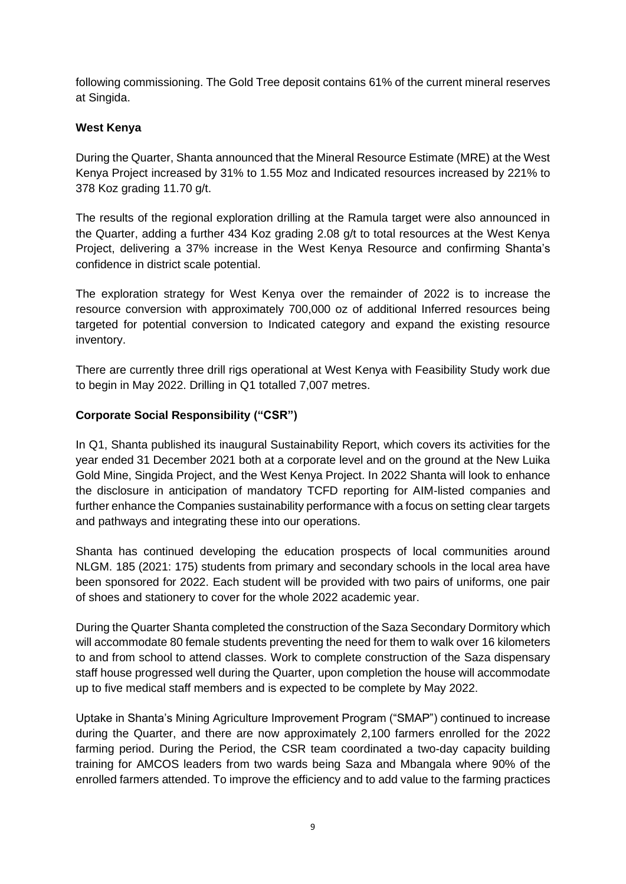following commissioning. The Gold Tree deposit contains 61% of the current mineral reserves at Singida.

### **West Kenya**

During the Quarter, Shanta announced that the Mineral Resource Estimate (MRE) at the West Kenya Project increased by 31% to 1.55 Moz and Indicated resources increased by 221% to 378 Koz grading 11.70 g/t.

The results of the regional exploration drilling at the Ramula target were also announced in the Quarter, adding a further 434 Koz grading 2.08 g/t to total resources at the West Kenya Project, delivering a 37% increase in the West Kenya Resource and confirming Shanta's confidence in district scale potential.

The exploration strategy for West Kenya over the remainder of 2022 is to increase the resource conversion with approximately 700,000 oz of additional Inferred resources being targeted for potential conversion to Indicated category and expand the existing resource inventory.

There are currently three drill rigs operational at West Kenya with Feasibility Study work due to begin in May 2022. Drilling in Q1 totalled 7,007 metres.

## **Corporate Social Responsibility ("CSR")**

In Q1, Shanta published its inaugural Sustainability Report, which covers its activities for the year ended 31 December 2021 both at a corporate level and on the ground at the New Luika Gold Mine, Singida Project, and the West Kenya Project. In 2022 Shanta will look to enhance the disclosure in anticipation of mandatory TCFD reporting for AIM-listed companies and further enhance the Companies sustainability performance with a focus on setting clear targets and pathways and integrating these into our operations.

Shanta has continued developing the education prospects of local communities around NLGM. 185 (2021: 175) students from primary and secondary schools in the local area have been sponsored for 2022. Each student will be provided with two pairs of uniforms, one pair of shoes and stationery to cover for the whole 2022 academic year.

During the Quarter Shanta completed the construction of the Saza Secondary Dormitory which will accommodate 80 female students preventing the need for them to walk over 16 kilometers to and from school to attend classes. Work to complete construction of the Saza dispensary staff house progressed well during the Quarter, upon completion the house will accommodate up to five medical staff members and is expected to be complete by May 2022.

Uptake in Shanta's Mining Agriculture Improvement Program ("SMAP") continued to increase during the Quarter, and there are now approximately 2,100 farmers enrolled for the 2022 farming period. During the Period, the CSR team coordinated a two-day capacity building training for AMCOS leaders from two wards being Saza and Mbangala where 90% of the enrolled farmers attended. To improve the efficiency and to add value to the farming practices